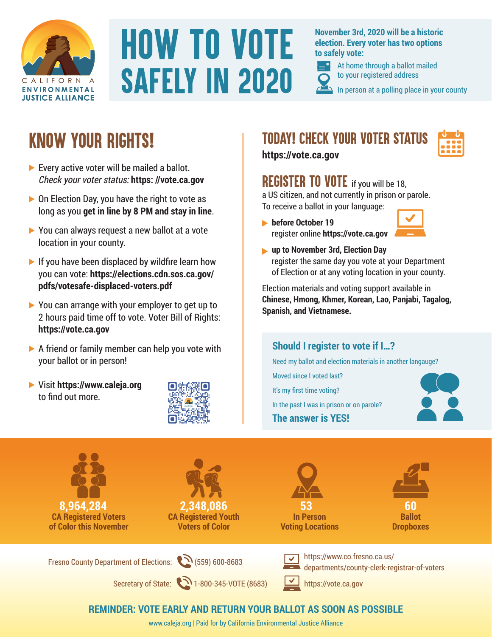

## **HOW TO VOTE SAFELY IN 2020**

**November 3rd, 2020 will be a historic election. Every voter has two options to safely vote:** 



At home through a ballot mailed to your registered address

In person at a polling place in your county

### *Know Your Rights!*

- Every active voter will be mailed a ballot. Check your voter status: **https: //vote.ca.gov**
- $\triangleright$  On Election Day, you have the right to vote as long as you **get in line by 8 PM and stay in line**.
- ▶ You can always request a new ballot at a vote location in your county.
- $\blacktriangleright$  If you have been displaced by wildfire learn how you can vote: **https://elections.cdn.sos.ca.gov/ pdfs/votesafe-displaced-voters.pdf**
- ▶ You can arrange with your employer to get up to 2 hours paid time off to vote. Voter Bill of Rights: **https://vote.ca.gov**
- $\triangleright$  A friend or family member can help you vote with your ballot or in person!
- Visit **https://www.caleja.org** to find out more.



### *Today! Check your voter status*



**https://vote.ca.gov**

### **REGISTER TO VOTE** if you will be 18.

a US citizen, and not currently in prison or parole. To receive a ballot in your language:

**before October 19** register online **https://vote.ca.gov**



**up to November 3rd, Election Day** register the same day you vote at your Department of Election or at any voting location in your county.

Election materials and voting support available in **Chinese, Hmong, Khmer, Korean, Lao, Panjabi, Tagalog, Spanish, and Vietnamese.**

### **Should I register to vote if I…?**

Need my ballot and election materials in another langauge?

Moved since I voted last? It's my first time voting? In the past I was in prison or on parole? **The answer is YES!**





### **REMINDER: VOTE EARLY AND RETURN YOUR BALLOT AS SOON AS POSSIBLE**

www.caleja.org | Paid for by California Environmental Justice Alliance